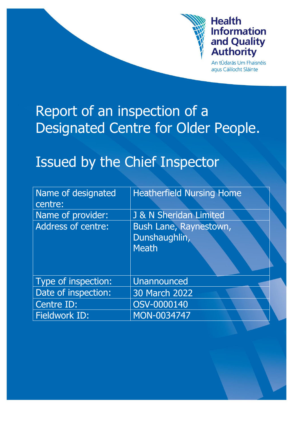

## **Health Information** and Quality **Authority**

An tÚdarás Um Fhaisnéis aqus Cáilíocht Sláinte

# Report of an inspection of a Designated Centre for Older People.

# Issued by the Chief Inspector

| Name of designated<br>centre: | <b>Heatherfield Nursing Home</b>                        |
|-------------------------------|---------------------------------------------------------|
| Name of provider:             | J & N Sheridan Limited                                  |
| <b>Address of centre:</b>     | Bush Lane, Raynestown,<br>Dunshaughlin,<br><b>Meath</b> |
| Type of inspection:           | Unannounced                                             |
| Date of inspection:           | 30 March 2022                                           |
| Centre ID:                    | OSV-0000140                                             |
| Fieldwork ID:                 | MON-0034747                                             |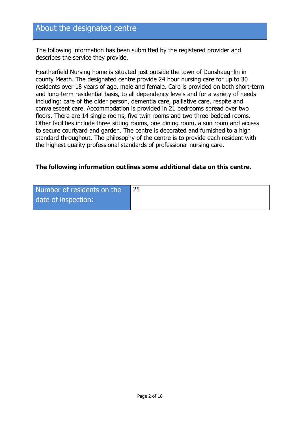## About the designated centre

The following information has been submitted by the registered provider and describes the service they provide.

Heatherfield Nursing home is situated just outside the town of Dunshaughlin in county Meath. The designated centre provide 24 hour nursing care for up to 30 residents over 18 years of age, male and female. Care is provided on both short-term and long-term residential basis, to all dependency levels and for a variety of needs including: care of the older person, dementia care, palliative care, respite and convalescent care. Accommodation is provided in 21 bedrooms spread over two floors. There are 14 single rooms, five twin rooms and two three-bedded rooms. Other facilities include three sitting rooms, one dining room, a sun room and access to secure courtyard and garden. The centre is decorated and furnished to a high standard throughout. The philosophy of the centre is to provide each resident with the highest quality professional standards of professional nursing care.

#### **The following information outlines some additional data on this centre.**

| Number of residents on the | 25 |
|----------------------------|----|
| date of inspection:        |    |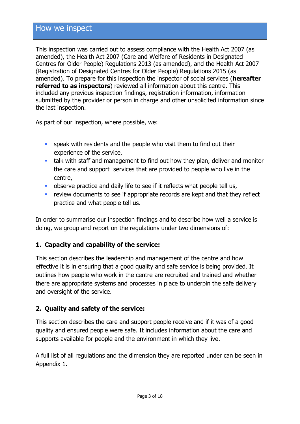## How we inspect

This inspection was carried out to assess compliance with the Health Act 2007 (as amended), the Health Act 2007 (Care and Welfare of Residents in Designated Centres for Older People) Regulations 2013 (as amended), and the Health Act 2007 (Registration of Designated Centres for Older People) Regulations 2015 (as amended). To prepare for this inspection the inspector of social services (**hereafter referred to as inspectors**) reviewed all information about this centre. This included any previous inspection findings, registration information, information submitted by the provider or person in charge and other unsolicited information since the last inspection.

As part of our inspection, where possible, we:

- speak with residents and the people who visit them to find out their experience of the service,
- talk with staff and management to find out how they plan, deliver and monitor the care and support services that are provided to people who live in the centre,
- observe practice and daily life to see if it reflects what people tell us,
- **F** review documents to see if appropriate records are kept and that they reflect practice and what people tell us.

In order to summarise our inspection findings and to describe how well a service is doing, we group and report on the regulations under two dimensions of:

#### **1. Capacity and capability of the service:**

This section describes the leadership and management of the centre and how effective it is in ensuring that a good quality and safe service is being provided. It outlines how people who work in the centre are recruited and trained and whether there are appropriate systems and processes in place to underpin the safe delivery and oversight of the service.

#### **2. Quality and safety of the service:**

This section describes the care and support people receive and if it was of a good quality and ensured people were safe. It includes information about the care and supports available for people and the environment in which they live.

A full list of all regulations and the dimension they are reported under can be seen in Appendix 1.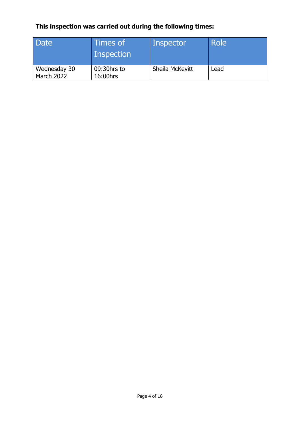## **This inspection was carried out during the following times:**

| Date                              | Times of<br>Inspection  | Inspector       | <b>Role</b> |
|-----------------------------------|-------------------------|-----------------|-------------|
| Wednesday 30<br><b>March 2022</b> | 09:30hrs to<br>16:00hrs | Sheila McKevitt | Lead        |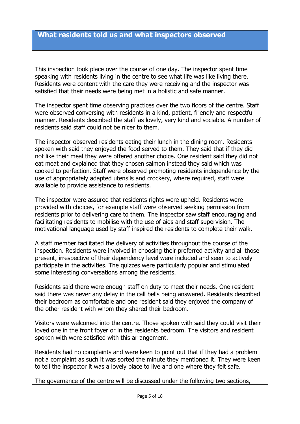#### **What residents told us and what inspectors observed**

This inspection took place over the course of one day. The inspector spent time speaking with residents living in the centre to see what life was like living there. Residents were content with the care they were receiving and the inspector was satisfied that their needs were being met in a holistic and safe manner.

The inspector spent time observing practices over the two floors of the centre. Staff were observed conversing with residents in a kind, patient, friendly and respectful manner. Residents described the staff as lovely, very kind and sociable. A number of residents said staff could not be nicer to them.

The inspector observed residents eating their lunch in the dining room. Residents spoken with said they enjoyed the food served to them. They said that if they did not like their meal they were offered another choice. One resident said they did not eat meat and explained that they chosen salmon instead they said which was cooked to perfection. Staff were observed promoting residents independence by the use of appropriately adapted utensils and crockery, where required, staff were available to provide assistance to residents.

The inspector were assured that residents rights were upheld. Residents were provided with choices, for example staff were observed seeking permission from residents prior to delivering care to them. The inspector saw staff encouraging and facilitating residents to mobilise with the use of aids and staff supervision. The motivational language used by staff inspired the residents to complete their walk.

A staff member facilitated the delivery of activities throughout the course of the inspection. Residents were involved in choosing their preferred activity and all those present, irrespective of their dependency level were included and seen to actively participate in the activities. The quizzes were particularly popular and stimulated some interesting conversations among the residents.

Residents said there were enough staff on duty to meet their needs. One resident said there was never any delay in the call bells being answered. Residents described their bedroom as comfortable and one resident said they enjoyed the company of the other resident with whom they shared their bedroom.

Visitors were welcomed into the centre. Those spoken with said they could visit their loved one in the front foyer or in the residents bedroom. The visitors and resident spoken with were satisfied with this arrangement.

Residents had no complaints and were keen to point out that if they had a problem not a complaint as such it was sorted the minute they mentioned it. They were keen to tell the inspector it was a lovely place to live and one where they felt safe.

The governance of the centre will be discussed under the following two sections,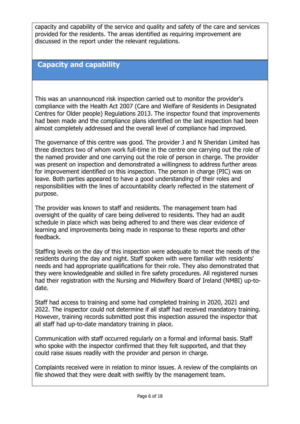capacity and capability of the service and quality and safety of the care and services provided for the residents. The areas identified as requiring improvement are discussed in the report under the relevant regulations.

## **Capacity and capability**

This was an unannounced risk inspection carried out to monitor the provider's compliance with the Health Act 2007 (Care and Welfare of Residents in Designated Centres for Older people) Regulations 2013. The inspector found that improvements had been made and the compliance plans identified on the last inspection had been almost completely addressed and the overall level of compliance had improved.

The governance of this centre was good. The provider J and N Sheridan Limited has three directors two of whom work full-time in the centre one carrying out the role of the named provider and one carrying out the role of person in charge. The provider was present on inspection and demonstrated a willingness to address further areas for improvement identified on this inspection. The person in charge (PIC) was on leave. Both parties appeared to have a good understanding of their roles and responsibilities with the lines of accountability clearly reflected in the statement of purpose.

The provider was known to staff and residents. The management team had oversight of the quality of care being delivered to residents. They had an audit schedule in place which was being adhered to and there was clear evidence of learning and improvements being made in response to these reports and other feedback.

Staffing levels on the day of this inspection were adequate to meet the needs of the residents during the day and night. Staff spoken with were familiar with residents' needs and had appropriate qualifications for their role. They also demonstrated that they were knowledgeable and skilled in fire safety procedures. All registered nurses had their registration with the Nursing and Midwifery Board of Ireland (NMBI) up-todate.

Staff had access to training and some had completed training in 2020, 2021 and 2022. The inspector could not determine if all staff had received mandatory training. However, training records submitted post this inspection assured the inspector that all staff had up-to-date mandatory training in place.

Communication with staff occurred regularly on a formal and informal basis. Staff who spoke with the inspector confirmed that they felt supported, and that they could raise issues readily with the provider and person in charge.

Complaints received were in relation to minor issues. A review of the complaints on file showed that they were dealt with swiftly by the management team.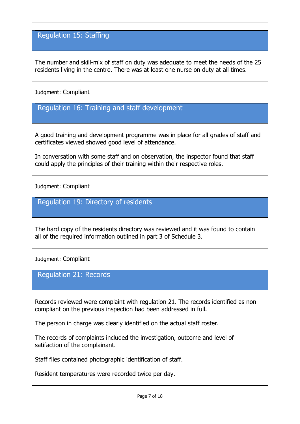## Regulation 15: Staffing

The number and skill-mix of staff on duty was adequate to meet the needs of the 25 residents living in the centre. There was at least one nurse on duty at all times.

Judgment: Compliant

Regulation 16: Training and staff development

A good training and development programme was in place for all grades of staff and certificates viewed showed good level of attendance.

In conversation with some staff and on observation, the inspector found that staff could apply the principles of their training within their respective roles.

Judgment: Compliant

Regulation 19: Directory of residents

The hard copy of the residents directory was reviewed and it was found to contain all of the required information outlined in part 3 of Schedule 3.

Judgment: Compliant

Regulation 21: Records

Records reviewed were complaint with regulation 21. The records identified as non compliant on the previous inspection had been addressed in full.

The person in charge was clearly identified on the actual staff roster.

The records of complaints included the investigation, outcome and level of satifaction of the complainant.

Staff files contained photographic identification of staff.

Resident temperatures were recorded twice per day.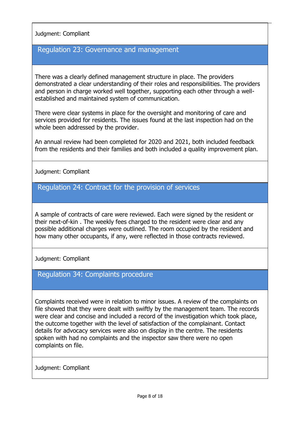#### Judgment: Compliant

## Regulation 23: Governance and management

There was a clearly defined management structure in place. The providers demonstrated a clear understanding of their roles and responsibilities. The providers and person in charge worked well together, supporting each other through a wellestablished and maintained system of communication.

There were clear systems in place for the oversight and monitoring of care and services provided for residents. The issues found at the last inspection had on the whole been addressed by the provider.

An annual review had been completed for 2020 and 2021, both included feedback from the residents and their families and both included a quality improvement plan.

#### Judgment: Compliant

#### Regulation 24: Contract for the provision of services

A sample of contracts of care were reviewed. Each were signed by the resident or their next-of-kin . The weekly fees charged to the resident were clear and any possible additional charges were outlined. The room occupied by the resident and how many other occupants, if any, were reflected in those contracts reviewed.

Judgment: Compliant

#### Regulation 34: Complaints procedure

Complaints received were in relation to minor issues. A review of the complaints on file showed that they were dealt with swiftly by the management team. The records were clear and concise and included a record of the investigation which took place, the outcome together with the level of satisfaction of the complainant. Contact details for advocacy services were also on display in the centre. The residents spoken with had no complaints and the inspector saw there were no open complaints on file.

Judgment: Compliant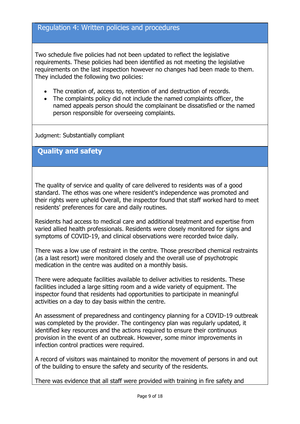## Regulation 4: Written policies and procedures

Two schedule five policies had not been updated to reflect the legislative requirements. These policies had been identified as not meeting the legislative requirements on the last inspection however no changes had been made to them. They included the following two policies:

- The creation of, access to, retention of and destruction of records.
- The complaints policy did not include the named complaints officer, the named appeals person should the complainant be dissatisfied or the named person responsible for overseeing complaints.

Judgment: Substantially compliant

**Quality and safety**

The quality of service and quality of care delivered to residents was of a good standard. The ethos was one where resident's independence was promoted and their rights were upheld Overall, the inspector found that staff worked hard to meet residents' preferences for care and daily routines.

Residents had access to medical care and additional treatment and expertise from varied allied health professionals. Residents were closely monitored for signs and symptoms of COVID-19, and clinical observations were recorded twice daily.

There was a low use of restraint in the centre. Those prescribed chemical restraints (as a last resort) were monitored closely and the overall use of psychotropic medication in the centre was audited on a monthly basis.

There were adequate facilities available to deliver activities to residents. These facilities included a large sitting room and a wide variety of equipment. The inspector found that residents had opportunities to participate in meaningful activities on a day to day basis within the centre.

An assessment of preparedness and contingency planning for a COVID-19 outbreak was completed by the provider. The contingency plan was regularly updated, it identified key resources and the actions required to ensure their continuous provision in the event of an outbreak. However, some minor improvements in infection control practices were required.

A record of visitors was maintained to monitor the movement of persons in and out of the building to ensure the safety and security of the residents.

There was evidence that all staff were provided with training in fire safety and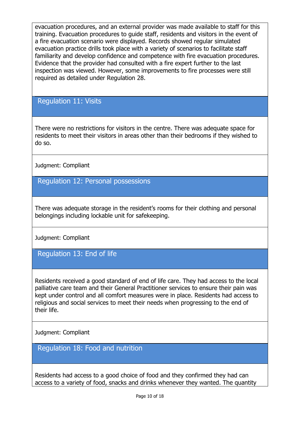evacuation procedures, and an external provider was made available to staff for this training. Evacuation procedures to guide staff, residents and visitors in the event of a fire evacuation scenario were displayed. Records showed regular simulated evacuation practice drills took place with a variety of scenarios to facilitate staff familiarity and develop confidence and competence with fire evacuation procedures. Evidence that the provider had consulted with a fire expert further to the last inspection was viewed. However, some improvements to fire processes were still required as detailed under Regulation 28.

Regulation 11: Visits

There were no restrictions for visitors in the centre. There was adequate space for residents to meet their visitors in areas other than their bedrooms if they wished to do so.

Judgment: Compliant

Regulation 12: Personal possessions

There was adequate storage in the resident's rooms for their clothing and personal belongings including lockable unit for safekeeping.

Judgment: Compliant

Regulation 13: End of life

Residents received a good standard of end of life care. They had access to the local palliative care team and their General Practitioner services to ensure their pain was kept under control and all comfort measures were in place. Residents had access to religious and social services to meet their needs when progressing to the end of their life.

Judgment: Compliant

Regulation 18: Food and nutrition

Residents had access to a good choice of food and they confirmed they had can access to a variety of food, snacks and drinks whenever they wanted. The quantity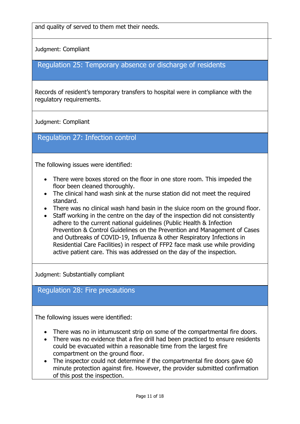and quality of served to them met their needs.

Judgment: Compliant

### Regulation 25: Temporary absence or discharge of residents

Records of resident's temporary transfers to hospital were in compliance with the regulatory requirements.

Judgment: Compliant

Regulation 27: Infection control

The following issues were identified:

- There were boxes stored on the floor in one store room. This impeded the floor been cleaned thoroughly.
- The clinical hand wash sink at the nurse station did not meet the required standard.
- There was no clinical wash hand basin in the sluice room on the ground floor.
- Staff working in the centre on the day of the inspection did not consistently adhere to the current national guidelines (Public Health & Infection Prevention & Control Guidelines on the Prevention and Management of Cases and Outbreaks of COVID-19, Influenza & other Respiratory Infections in Residential Care Facilities) in respect of FFP2 face mask use while providing active patient care. This was addressed on the day of the inspection.

Judgment: Substantially compliant

### Regulation 28: Fire precautions

The following issues were identified:

- There was no in intumuscent strip on some of the compartmental fire doors.
- There was no evidence that a fire drill had been practiced to ensure residents could be evacuated within a reasonable time from the largest fire compartment on the ground floor.
- The inspector could not determine if the compartmental fire doors gave 60 minute protection against fire. However, the provider submitted confirmation of this post the inspection.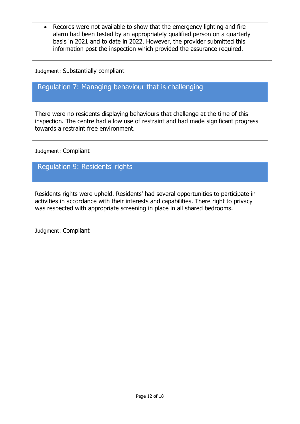Records were not available to show that the emergency lighting and fire alarm had been tested by an appropriately qualified person on a quarterly basis in 2021 and to date in 2022. However, the provider submitted this information post the inspection which provided the assurance required.

Judgment: Substantially compliant

## Regulation 7: Managing behaviour that is challenging

There were no residents displaying behaviours that challenge at the time of this inspection. The centre had a low use of restraint and had made significant progress towards a restraint free environment.

Judgment: Compliant

Regulation 9: Residents' rights

Residents rights were upheld. Residents' had several opportunities to participate in activities in accordance with their interests and capabilities. There right to privacy was respected with appropriate screening in place in all shared bedrooms.

Judgment: Compliant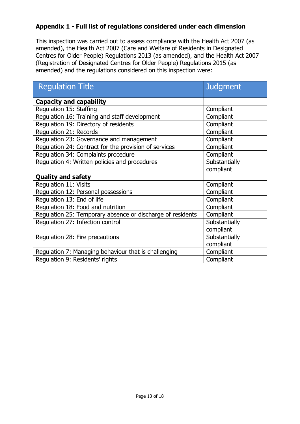#### **Appendix 1 - Full list of regulations considered under each dimension**

This inspection was carried out to assess compliance with the Health Act 2007 (as amended), the Health Act 2007 (Care and Welfare of Residents in Designated Centres for Older People) Regulations 2013 (as amended), and the Health Act 2007 (Registration of Designated Centres for Older People) Regulations 2015 (as amended) and the regulations considered on this inspection were:

| <b>Requlation Title</b>                                    | <b>Judgment</b> |
|------------------------------------------------------------|-----------------|
| <b>Capacity and capability</b>                             |                 |
| Regulation 15: Staffing                                    | Compliant       |
| Regulation 16: Training and staff development              | Compliant       |
| Regulation 19: Directory of residents                      | Compliant       |
| Regulation 21: Records                                     | Compliant       |
| Regulation 23: Governance and management                   | Compliant       |
| Regulation 24: Contract for the provision of services      | Compliant       |
| Regulation 34: Complaints procedure                        | Compliant       |
| Regulation 4: Written policies and procedures              | Substantially   |
|                                                            | compliant       |
| <b>Quality and safety</b>                                  |                 |
| Regulation 11: Visits                                      | Compliant       |
| Regulation 12: Personal possessions                        | Compliant       |
| Regulation 13: End of life                                 | Compliant       |
| Regulation 18: Food and nutrition                          | Compliant       |
| Regulation 25: Temporary absence or discharge of residents | Compliant       |
| Regulation 27: Infection control                           | Substantially   |
|                                                            | compliant       |
| Regulation 28: Fire precautions                            | Substantially   |
|                                                            | compliant       |
| Regulation 7: Managing behaviour that is challenging       | Compliant       |
| Regulation 9: Residents' rights                            | Compliant       |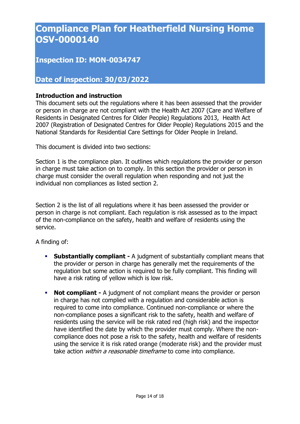## **Compliance Plan for Heatherfield Nursing Home OSV-0000140**

## **Inspection ID: MON-0034747**

## **Date of inspection: 30/03/2022**

#### **Introduction and instruction**

This document sets out the regulations where it has been assessed that the provider or person in charge are not compliant with the Health Act 2007 (Care and Welfare of Residents in Designated Centres for Older People) Regulations 2013, Health Act 2007 (Registration of Designated Centres for Older People) Regulations 2015 and the National Standards for Residential Care Settings for Older People in Ireland.

This document is divided into two sections:

Section 1 is the compliance plan. It outlines which regulations the provider or person in charge must take action on to comply. In this section the provider or person in charge must consider the overall regulation when responding and not just the individual non compliances as listed section 2.

Section 2 is the list of all regulations where it has been assessed the provider or person in charge is not compliant. Each regulation is risk assessed as to the impact of the non-compliance on the safety, health and welfare of residents using the service.

A finding of:

- **Substantially compliant -** A judgment of substantially compliant means that the provider or person in charge has generally met the requirements of the regulation but some action is required to be fully compliant. This finding will have a risk rating of yellow which is low risk.
- **Not compliant -** A judgment of not compliant means the provider or person in charge has not complied with a regulation and considerable action is required to come into compliance. Continued non-compliance or where the non-compliance poses a significant risk to the safety, health and welfare of residents using the service will be risk rated red (high risk) and the inspector have identified the date by which the provider must comply. Where the noncompliance does not pose a risk to the safety, health and welfare of residents using the service it is risk rated orange (moderate risk) and the provider must take action *within a reasonable timeframe* to come into compliance.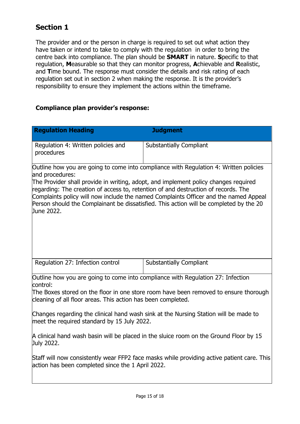## **Section 1**

The provider and or the person in charge is required to set out what action they have taken or intend to take to comply with the regulation in order to bring the centre back into compliance. The plan should be **SMART** in nature. **S**pecific to that regulation, **M**easurable so that they can monitor progress, **A**chievable and **R**ealistic, and **T**ime bound. The response must consider the details and risk rating of each regulation set out in section 2 when making the response. It is the provider's responsibility to ensure they implement the actions within the timeframe.

#### **Compliance plan provider's response:**

| <b>Regulation Heading</b>                                                                                                                                                                                                                                                                                                                                                                                                                                                             | <b>Judgment</b>                |  |  |
|---------------------------------------------------------------------------------------------------------------------------------------------------------------------------------------------------------------------------------------------------------------------------------------------------------------------------------------------------------------------------------------------------------------------------------------------------------------------------------------|--------------------------------|--|--|
| Regulation 4: Written policies and<br>procedures                                                                                                                                                                                                                                                                                                                                                                                                                                      | <b>Substantially Compliant</b> |  |  |
| Outline how you are going to come into compliance with Regulation 4: Written policies<br>and procedures:<br>The Provider shall provide in writing, adopt, and implement policy changes required<br>regarding: The creation of access to, retention of and destruction of records. The<br>Complaints policy will now include the named Complaints Officer and the named Appeal<br>Person should the Complainant be dissatisfied. This action will be completed by the 20<br>June 2022. |                                |  |  |
| Regulation 27: Infection control                                                                                                                                                                                                                                                                                                                                                                                                                                                      | <b>Substantially Compliant</b> |  |  |
| Outline how you are going to come into compliance with Regulation 27: Infection<br>control:<br>The Boxes stored on the floor in one store room have been removed to ensure thorough<br>cleaning of all floor areas. This action has been completed.                                                                                                                                                                                                                                   |                                |  |  |
| Changes regarding the clinical hand wash sink at the Nursing Station will be made to<br>meet the required standard by 15 July 2022.                                                                                                                                                                                                                                                                                                                                                   |                                |  |  |
| A clinical hand wash basin will be placed in the sluice room on the Ground Floor by 15<br>July 2022.                                                                                                                                                                                                                                                                                                                                                                                  |                                |  |  |
| Staff will now consistently wear FFP2 face masks while providing active patient care. This<br>action has been completed since the 1 April 2022.                                                                                                                                                                                                                                                                                                                                       |                                |  |  |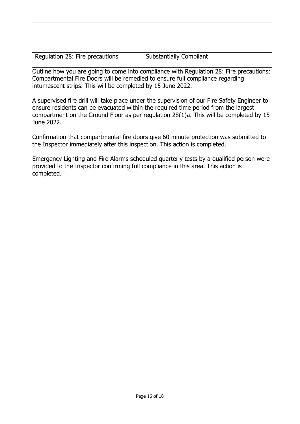Regulation 28: Fire precautions  $\vert$  Substantially Compliant

Outline how you are going to come into compliance with Regulation 28: Fire precautions: Compartmental Fire Doors will be remedied to ensure full compliance regarding intumescent strips. This will be completed by 15 June 2022.

A supervised fire drill will take place under the supervision of our Fire Safety Engineer to ensure residents can be evacuated within the required time period from the largest compartment on the Ground Floor as per regulation 28(1)a. This will be completed by 15 June 2022.

Confirmation that compartmental fire doors give 60 minute protection was submitted to the Inspector immediately after this inspection. This action is completed.

Emergency Lighting and Fire Alarms scheduled quarterly tests by a qualified person were provided to the Inspector confirming full compliance in this area. This action is completed.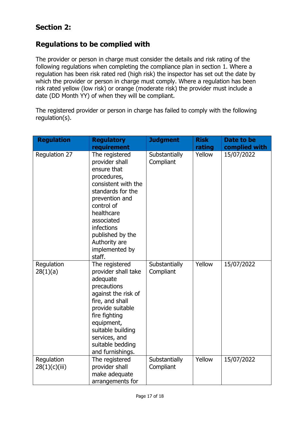## **Section 2:**

## **Regulations to be complied with**

The provider or person in charge must consider the details and risk rating of the following regulations when completing the compliance plan in section 1. Where a regulation has been risk rated red (high risk) the inspector has set out the date by which the provider or person in charge must comply. Where a regulation has been risk rated yellow (low risk) or orange (moderate risk) the provider must include a date (DD Month YY) of when they will be compliant.

The registered provider or person in charge has failed to comply with the following regulation(s).

| <b>Regulation</b>      | <b>Regulatory</b>                                                                                                                                                                                                                                     | <b>Judgment</b>            | <b>Risk</b> | Date to be    |
|------------------------|-------------------------------------------------------------------------------------------------------------------------------------------------------------------------------------------------------------------------------------------------------|----------------------------|-------------|---------------|
|                        | requirement                                                                                                                                                                                                                                           |                            | rating      | complied with |
| Regulation 27          | The registered<br>provider shall<br>ensure that<br>procedures,<br>consistent with the<br>standards for the<br>prevention and<br>control of<br>healthcare<br>associated<br>infections<br>published by the<br>Authority are<br>implemented by<br>staff. | Substantially<br>Compliant | Yellow      | 15/07/2022    |
| Regulation<br>28(1)(a) | The registered<br>provider shall take<br>adequate<br>precautions<br>against the risk of<br>fire, and shall<br>provide suitable<br>fire fighting<br>equipment,<br>suitable building<br>services, and<br>suitable bedding<br>and furnishings.           | Substantially<br>Compliant | Yellow      | 15/07/2022    |
| Regulation             | The registered                                                                                                                                                                                                                                        | Substantially              | Yellow      | 15/07/2022    |
| 28(1)(c)(iii)          | provider shall                                                                                                                                                                                                                                        | Compliant                  |             |               |
|                        | make adequate<br>arrangements for                                                                                                                                                                                                                     |                            |             |               |